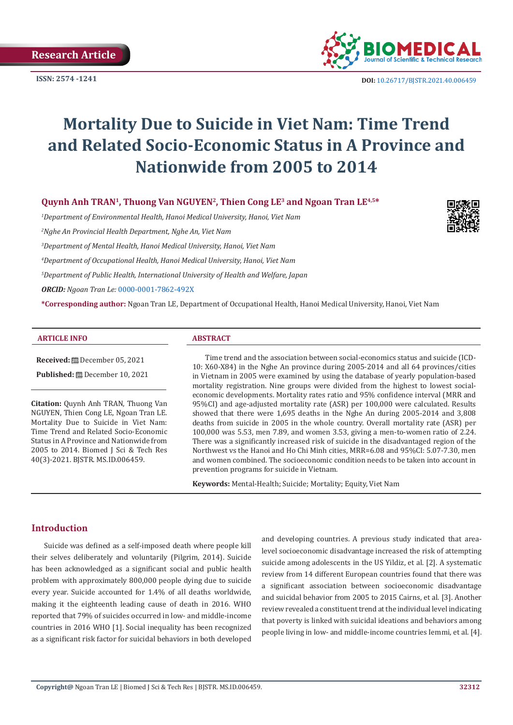

**ISSN:** 2574 -1241 **DOI:** [10.26717/BJSTR.2021.40.006459](https://dx.doi.org/10.26717/BJSTR.2021.40.006459)

# **Mortality Due to Suicide in Viet Nam: Time Trend and Related Socio-Economic Status in A Province and Nationwide from 2005 to 2014**

Quynh Anh TRAN<sup>1</sup>, Thuong Van NGUYEN<sup>2</sup>, Thien Cong LE<sup>3</sup> and Ngoan Tran LE<sup>4,5\*</sup>

*1 Department of Environmental Health, Hanoi Medical University, Hanoi, Viet Nam*

*2 Nghe An Provincial Health Department, Nghe An, Viet Nam*

*3 Department of Mental Health, Hanoi Medical University, Hanoi, Viet Nam*

*4 Department of Occupational Health, Hanoi Medical University, Hanoi, Viet Nam*

*5 Department of Public Health, International University of Health and Welfare, Japan*

*ORCID: Ngoan Tran Le:* [0000-0001-7862-492X](https://orcid.org/0000-0001-7862-492X)

**\*Corresponding author:** Ngoan Tran LE, Department of Occupational Health, Hanoi Medical University, Hanoi, Viet Nam

#### **ARTICLE INFO ABSTRACT**

**Received:** December 05, 2021

**Published:** December 10, 2021

**Citation:** Quynh Anh TRAN, Thuong Van NGUYEN, Thien Cong LE, Ngoan Tran LE. Mortality Due to Suicide in Viet Nam: Time Trend and Related Socio-Economic Status in A Province and Nationwide from 2005 to 2014. Biomed J Sci & Tech Res 40(3)-2021. BJSTR. MS.ID.006459.

Time trend and the association between social-economics status and suicide (ICD-10: X60-X84) in the Nghe An province during 2005-2014 and all 64 provinces/cities in Vietnam in 2005 were examined by using the database of yearly population-based mortality registration. Nine groups were divided from the highest to lowest socialeconomic developments. Mortality rates ratio and 95% confidence interval (MRR and 95%CI) and age-adjusted mortality rate (ASR) per 100,000 were calculated. Results showed that there were 1,695 deaths in the Nghe An during 2005-2014 and 3,808 deaths from suicide in 2005 in the whole country. Overall mortality rate (ASR) per 100,000 was 5.53, men 7.89, and women 3.53, giving a men-to-women ratio of 2.24. There was a significantly increased risk of suicide in the disadvantaged region of the Northwest vs the Hanoi and Ho Chi Minh cities, MRR=6.08 and 95%CI: 5.07-7.30, men and women combined. The socioeconomic condition needs to be taken into account in prevention programs for suicide in Vietnam.

**Keywords:** Mental-Health; Suicide; Mortality; Equity, Viet Nam

# **Introduction**

Suicide was defined as a self-imposed death where people kill their selves deliberately and voluntarily (Pilgrim, 2014). Suicide has been acknowledged as a significant social and public health problem with approximately 800,000 people dying due to suicide every year. Suicide accounted for 1.4% of all deaths worldwide, making it the eighteenth leading cause of death in 2016. WHO reported that 79% of suicides occurred in low- and middle-income countries in 2016 WHO [1]. Social inequality has been recognized as a significant risk factor for suicidal behaviors in both developed and developing countries. A previous study indicated that arealevel socioeconomic disadvantage increased the risk of attempting suicide among adolescents in the US Yildiz, et al. [2]. A systematic review from 14 different European countries found that there was a significant association between socioeconomic disadvantage and suicidal behavior from 2005 to 2015 Cairns, et al. [3]. Another review revealed a constituent trend at the individual level indicating that poverty is linked with suicidal ideations and behaviors among people living in low- and middle-income countries Iemmi, et al. [4].

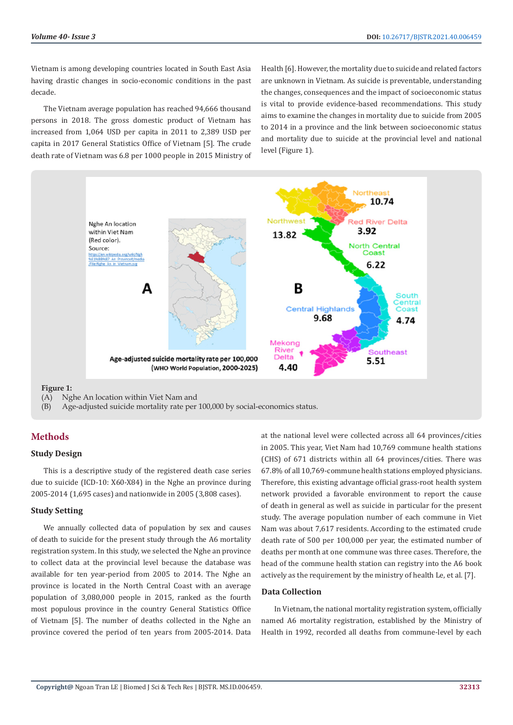Vietnam is among developing countries located in South East Asia having drastic changes in socio-economic conditions in the past decade.

The Vietnam average population has reached 94,666 thousand persons in 2018. The gross domestic product of Vietnam has increased from 1,064 USD per capita in 2011 to 2,389 USD per capita in 2017 General Statistics Office of Vietnam [5]. The crude death rate of Vietnam was 6.8 per 1000 people in 2015 Ministry of Health [6]. However, the mortality due to suicide and related factors are unknown in Vietnam. As suicide is preventable, understanding the changes, consequences and the impact of socioeconomic status is vital to provide evidence-based recommendations. This study aims to examine the changes in mortality due to suicide from 2005 to 2014 in a province and the link between socioeconomic status and mortality due to suicide at the provincial level and national level (Figure 1).



# **Methods**

### **Study Design**

This is a descriptive study of the registered death case series due to suicide (ICD-10: X60-X84) in the Nghe an province during 2005-2014 (1,695 cases) and nationwide in 2005 (3,808 cases).

#### **Study Setting**

We annually collected data of population by sex and causes of death to suicide for the present study through the A6 mortality registration system. In this study, we selected the Nghe an province to collect data at the provincial level because the database was available for ten year-period from 2005 to 2014. The Nghe an province is located in the North Central Coast with an average population of 3,080,000 people in 2015, ranked as the fourth most populous province in the country General Statistics Office of Vietnam [5]. The number of deaths collected in the Nghe an province covered the period of ten years from 2005-2014. Data

at the national level were collected across all 64 provinces/cities in 2005. This year, Viet Nam had 10,769 commune health stations (CHS) of 671 districts within all 64 provinces/cities. There was 67.8% of all 10,769-commune health stations employed physicians. Therefore, this existing advantage official grass-root health system network provided a favorable environment to report the cause of death in general as well as suicide in particular for the present study. The average population number of each commune in Viet Nam was about 7,617 residents. According to the estimated crude death rate of 500 per 100,000 per year, the estimated number of deaths per month at one commune was three cases. Therefore, the head of the commune health station can registry into the A6 book actively as the requirement by the ministry of health Le, et al. [7].

#### **Data Collection**

In Vietnam, the national mortality registration system, officially named A6 mortality registration, established by the Ministry of Health in 1992, recorded all deaths from commune-level by each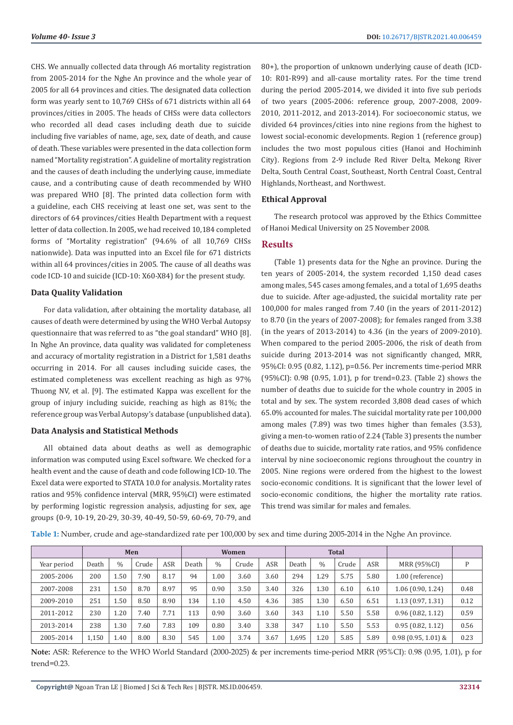CHS. We annually collected data through A6 mortality registration from 2005-2014 for the Nghe An province and the whole year of 2005 for all 64 provinces and cities. The designated data collection form was yearly sent to 10,769 CHSs of 671 districts within all 64 provinces/cities in 2005. The heads of CHSs were data collectors who recorded all dead cases including death due to suicide including five variables of name, age, sex, date of death, and cause of death. These variables were presented in the data collection form named "Mortality registration". A guideline of mortality registration and the causes of death including the underlying cause, immediate cause, and a contributing cause of death recommended by WHO was prepared WHO [8]. The printed data collection form with a guideline, each CHS receiving at least one set, was sent to the directors of 64 provinces/cities Health Department with a request letter of data collection. In 2005, we had received 10,184 completed forms of "Mortality registration" (94.6% of all 10,769 CHSs nationwide). Data was inputted into an Excel file for 671 districts within all 64 provinces/cities in 2005. The cause of all deaths was code ICD-10 and suicide (ICD-10: X60-X84) for the present study.

### **Data Quality Validation**

For data validation, after obtaining the mortality database, all causes of death were determined by using the WHO Verbal Autopsy questionnaire that was referred to as "the goal standard" WHO [8]. In Nghe An province, data quality was validated for completeness and accuracy of mortality registration in a District for 1,581 deaths occurring in 2014. For all causes including suicide cases, the estimated completeness was excellent reaching as high as 97% Thuong NV, et al. [9]. The estimated Kappa was excellent for the group of injury including suicide, reaching as high as 81%; the reference group was Verbal Autopsy's database (unpublished data).

#### **Data Analysis and Statistical Methods**

All obtained data about deaths as well as demographic information was computed using Excel software. We checked for a health event and the cause of death and code following ICD-10. The Excel data were exported to STATA 10.0 for analysis. Mortality rates ratios and 95% confidence interval (MRR, 95%CI) were estimated by performing logistic regression analysis, adjusting for sex, age groups (0-9, 10-19, 20-29, 30-39, 40-49, 50-59, 60-69, 70-79, and

80+), the proportion of unknown underlying cause of death (ICD-10: R01-R99) and all-cause mortality rates. For the time trend during the period 2005-2014, we divided it into five sub periods of two years (2005-2006: reference group, 2007-2008, 2009- 2010, 2011-2012, and 2013-2014). For socioeconomic status, we divided 64 provinces/cities into nine regions from the highest to lowest social-economic developments. Region 1 (reference group) includes the two most populous cities (Hanoi and Hochiminh City). Regions from 2-9 include Red River Delta, Mekong River Delta, South Central Coast, Southeast, North Central Coast, Central Highlands, Northeast, and Northwest.

#### **Ethical Approval**

The research protocol was approved by the Ethics Committee of Hanoi Medical University on 25 November 2008.

# **Results**

(Table 1) presents data for the Nghe an province. During the ten years of 2005-2014, the system recorded 1,150 dead cases among males, 545 cases among females, and a total of 1,695 deaths due to suicide. After age-adjusted, the suicidal mortality rate per 100,000 for males ranged from 7.40 (in the years of 2011-2012) to 8.70 (in the years of 2007-2008); for females ranged from 3.38 (in the years of 2013-2014) to 4.36 (in the years of 2009-2010). When compared to the period 2005-2006, the risk of death from suicide during 2013-2014 was not significantly changed, MRR, 95%CI: 0.95 (0.82, 1.12), p=0.56. Per increments time-period MRR (95%CI): 0.98 (0.95, 1.01), p for trend=0.23. (Table 2) shows the number of deaths due to suicide for the whole country in 2005 in total and by sex. The system recorded 3,808 dead cases of which 65.0% accounted for males. The suicidal mortality rate per 100,000 among males (7.89) was two times higher than females (3.53), giving a men-to-women ratio of 2.24 (Table 3) presents the number of deaths due to suicide, mortality rate ratios, and 95% confidence interval by nine socioeconomic regions throughout the country in 2005. Nine regions were ordered from the highest to the lowest socio-economic conditions. It is significant that the lower level of socio-economic conditions, the higher the mortality rate ratios. This trend was similar for males and females.

|             | Men   |               |       |            | Women |               |       | <b>Total</b> |       |               |       |      |                      |      |
|-------------|-------|---------------|-------|------------|-------|---------------|-------|--------------|-------|---------------|-------|------|----------------------|------|
| Year period | Death | $\frac{0}{0}$ | Crude | <b>ASR</b> | Death | $\frac{0}{0}$ | Crude | <b>ASR</b>   | Death | $\frac{0}{0}$ | Crude | ASR  | MRR (95%CI)          | D    |
| 2005-2006   | 200   | 1.50          | 7.90  | 8.17       | 94    | 1.00          | 3.60  | 3.60         | 294   | 1.29          | 5.75  | 5.80 | 1.00 (reference)     |      |
| 2007-2008   | 231   | 1.50          | 8.70  | 8.97       | 95    | 0.90          | 3.50  | 3.40         | 326   | 1.30          | 6.10  | 6.10 | 1.06 (0.90, 1.24)    | 0.48 |
| 2009-2010   | 251   | 1.50          | 8.50  | 8.90       | 134   | 1.10          | 4.50  | 4.36         | 385   | 1.30          | 6.50  | 6.51 | 1.13(0.97, 1.31)     | 0.12 |
| 2011-2012   | 230   | 1.20          | 7.40  | 7.71       | 113   | 0.90          | 3.60  | 3.60         | 343   | 1.10          | 5.50  | 5.58 | 0.96(0.82, 1.12)     | 0.59 |
| 2013-2014   | 238   | 1.30          | 7.60  | 7.83       | 109   | 0.80          | 3.40  | 3.38         | 347   | 1.10          | 5.50  | 5.53 | 0.95(0.82, 1.12)     | 0.56 |
| 2005-2014   | 1,150 | 1.40          | 8.00  | 8.30       | 545   | 1.00          | 3.74  | 3.67         | 1,695 | 1.20          | 5.85  | 5.89 | $0.98(0.95, 1.01)$ & | 0.23 |

**Table 1:** Number, crude and age-standardized rate per 100,000 by sex and time during 2005-2014 in the Nghe An province.

**Note:** ASR: Reference to the WHO World Standard (2000-2025) & per increments time-period MRR (95%CI): 0.98 (0.95, 1.01), p for trend=0.23.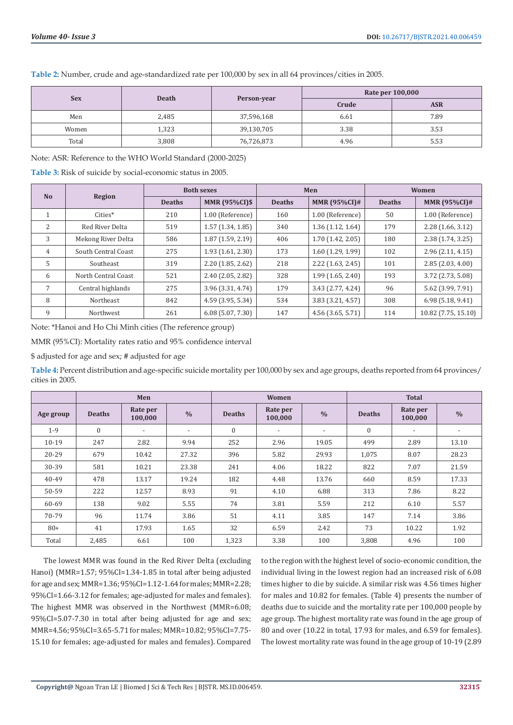|            | <b>Death</b> |             | Rate per 100,000 |      |  |  |
|------------|--------------|-------------|------------------|------|--|--|
| <b>Sex</b> |              | Person-year | Crude            | ASR  |  |  |
| Men        | 2,485        | 37,596,168  | 6.61             | 7.89 |  |  |
| Women      | 1,323        | 39,130,705  | 3.38             | 3.53 |  |  |
| Total      | 3,808        | 76,726,873  | 4.96             | 5.53 |  |  |

**Table 2:** Number, crude and age-standardized rate per 100,000 by sex in all 64 provinces/cities in 2005.

Note: ASR: Reference to the WHO World Standard (2000-2025)

**Table 3:** Risk of suicide by social-economic status in 2005.

|                |                     |               | <b>Both sexes</b>    |               | Men                 | Women         |                       |  |
|----------------|---------------------|---------------|----------------------|---------------|---------------------|---------------|-----------------------|--|
| N <sub>o</sub> | <b>Region</b>       | <b>Deaths</b> | <b>MMR (95%CI)\$</b> | <b>Deaths</b> | <b>MMR (95%CI)#</b> | <b>Deaths</b> | <b>MMR (95%CI)#</b>   |  |
|                | Cities*             | 210           | 1.00 (Reference)     | 160           | 1.00 (Reference)    | 50            | 1.00 (Reference)      |  |
| 2              | Red River Delta     | 519           | 1.57(1.34, 1.85)     | 340           | 1.36(1.12, 1.64)    | 179           | 2.28(1.66, 3.12)      |  |
| 3              | Mekong River Delta  | 586           | 1.87(1.59, 2.19)     | 406           | 1.70(1.42, 2.05)    | 180           | 2.38(1.74, 3.25)      |  |
| $\overline{4}$ | South Central Coast | 275           | 1.93(1.61, 2.30)     | 173           | $1.60$ (1.29, 1.99) | 102           | 2.96(2.11, 4.15)      |  |
| 5              | Southeast           | 319           | 2.20(1.85, 2.62)     | 218           | $2.22$ (1.63, 2.45) | 101           | 2.85(2.03, 4.00)      |  |
| 6              | North Central Coast | 521           | 2.40 (2.05, 2.82)    | 328           | 1.99(1.65, 2.40)    | 193           | 3.72 (2.73, 5.08)     |  |
| 7              | Central highlands   | 275           | 3.96 (3.31, 4.74)    | 179           | 3.43 (2.77, 4.24)   | 96            | 5.62 (3.99, 7.91)     |  |
| 8              | Northeast           | 842           | 4.59 (3.95, 5.34)    | 534           | 3.83 (3.21, 4.57)   | 308           | 6.98(5.18, 9.41)      |  |
| 9              | Northwest           | 261           | 6.08(5.07, 7.30)     | 147           | $4.56$ (3.65, 5.71) | 114           | $10.82$ (7.75, 15.10) |  |

Note: \*Hanoi and Ho Chi Minh cities (The reference group)

MMR (95%CI): Mortality rates ratio and 95% confidence interval

\$ adjusted for age and sex; # adjusted for age

**Table 4:** Percent distribution and age-specific suicide mortality per 100,000 by sex and age groups, deaths reported from 64 provinces/ cities in 2005.

|           |                                      | Men                      |                          |               | Women                    |                          | <b>Total</b>  |                          |                          |  |
|-----------|--------------------------------------|--------------------------|--------------------------|---------------|--------------------------|--------------------------|---------------|--------------------------|--------------------------|--|
| Age group | Rate per<br><b>Deaths</b><br>100,000 |                          | $\frac{0}{0}$            | <b>Deaths</b> | Rate per<br>100,000      | $\frac{0}{0}$            | <b>Deaths</b> | Rate per<br>100,000      | $\frac{0}{0}$            |  |
| $1 - 9$   | $\mathbf{0}$                         | $\overline{\phantom{0}}$ | $\overline{\phantom{a}}$ | $\mathbf{0}$  | $\overline{\phantom{a}}$ | $\overline{\phantom{a}}$ | $\mathbf{0}$  | $\overline{\phantom{a}}$ | $\overline{\phantom{a}}$ |  |
| $10-19$   | 247                                  | 2.82                     | 9.94                     | 252           | 2.96                     | 19.05                    | 499           | 2.89                     | 13.10                    |  |
| $20 - 29$ | 679                                  | 10.42                    | 27.32                    | 396           | 5.82                     | 29.93                    | 1,075         | 8.07                     | 28.23                    |  |
| 30-39     | 581                                  | 10.21                    | 23.38                    | 241           | 4.06                     | 18.22                    | 822           | 7.07                     | 21.59                    |  |
| 40-49     | 478                                  | 13.17                    | 19.24                    | 182           | 4.48                     | 13.76                    | 660           | 8.59                     | 17.33                    |  |
| 50-59     | 222                                  | 12.57                    | 8.93                     | 91            | 4.10                     | 6.88                     | 313           | 7.86                     | 8.22                     |  |
| 60-69     | 138                                  | 9.02                     | 5.55                     | 74            | 3.81                     | 5.59                     | 212           | 6.10                     | 5.57                     |  |
| 70-79     | 96                                   | 11.74                    | 3.86                     | 51            | 4.11                     | 3.85                     | 147           | 7.14                     | 3.86                     |  |
| $80+$     | 41                                   | 17.93                    | 1.65                     | 32            | 6.59                     | 2.42                     | 73            | 10.22                    | 1.92                     |  |
| Total     | 2,485                                | 6.61                     | 100                      | 1,323         | 3.38                     | 100                      | 3,808         | 4.96                     | 100                      |  |

The lowest MMR was found in the Red River Delta (excluding Hanoi) (MMR=1.57; 95%CI=1.34-1.85 in total after being adjusted for age and sex; MMR=1.36; 95%CI=1.12-1.64 for males; MMR=2.28; 95%CI=1.66-3.12 for females; age-adjusted for males and females). The highest MMR was observed in the Northwest (MMR=6.08; 95%CI=5.07-7.30 in total after being adjusted for age and sex; MMR=4.56; 95%CI=3.65-5.71 for males; MMR=10.82; 95%CI=7.75- 15.10 for females; age-adjusted for males and females). Compared

to the region with the highest level of socio-economic condition, the individual living in the lowest region had an increased risk of 6.08 times higher to die by suicide. A similar risk was 4.56 times higher for males and 10.82 for females. (Table 4) presents the number of deaths due to suicide and the mortality rate per 100,000 people by age group. The highest mortality rate was found in the age group of 80 and over (10.22 in total, 17.93 for males, and 6.59 for females). The lowest mortality rate was found in the age group of 10-19 (2.89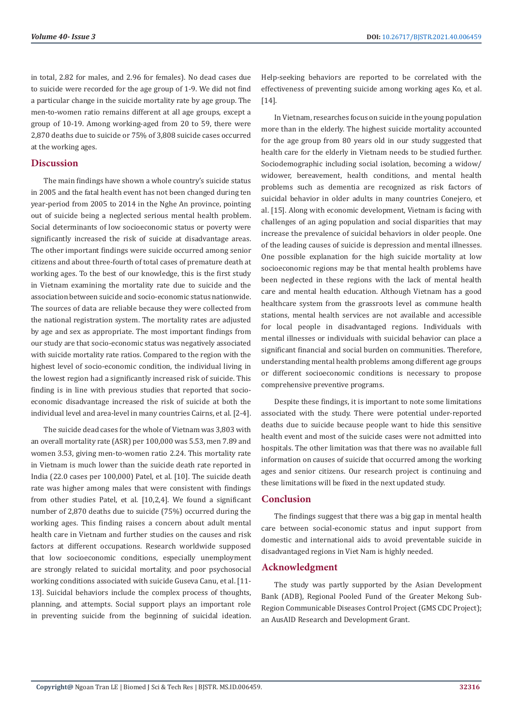in total, 2.82 for males, and 2.96 for females). No dead cases due to suicide were recorded for the age group of 1-9. We did not find a particular change in the suicide mortality rate by age group. The men-to-women ratio remains different at all age groups, except a group of 10-19. Among working-aged from 20 to 59, there were 2,870 deaths due to suicide or 75% of 3,808 suicide cases occurred at the working ages.

## **Discussion**

The main findings have shown a whole country's suicide status in 2005 and the fatal health event has not been changed during ten year-period from 2005 to 2014 in the Nghe An province, pointing out of suicide being a neglected serious mental health problem. Social determinants of low socioeconomic status or poverty were significantly increased the risk of suicide at disadvantage areas. The other important findings were suicide occurred among senior citizens and about three-fourth of total cases of premature death at working ages. To the best of our knowledge, this is the first study in Vietnam examining the mortality rate due to suicide and the association between suicide and socio-economic status nationwide. The sources of data are reliable because they were collected from the national registration system. The mortality rates are adjusted by age and sex as appropriate. The most important findings from our study are that socio-economic status was negatively associated with suicide mortality rate ratios. Compared to the region with the highest level of socio-economic condition, the individual living in the lowest region had a significantly increased risk of suicide. This finding is in line with previous studies that reported that socioeconomic disadvantage increased the risk of suicide at both the individual level and area-level in many countries Cairns, et al. [2-4].

The suicide dead cases for the whole of Vietnam was 3,803 with an overall mortality rate (ASR) per 100,000 was 5.53, men 7.89 and women 3.53, giving men-to-women ratio 2.24. This mortality rate in Vietnam is much lower than the suicide death rate reported in India (22.0 cases per 100,000) Patel, et al. [10]. The suicide death rate was higher among males that were consistent with findings from other studies Patel, et al. [10,2,4]. We found a significant number of 2,870 deaths due to suicide (75%) occurred during the working ages. This finding raises a concern about adult mental health care in Vietnam and further studies on the causes and risk factors at different occupations. Research worldwide supposed that low socioeconomic conditions, especially unemployment are strongly related to suicidal mortality, and poor psychosocial working conditions associated with suicide Guseva Canu, et al. [11- 13]. Suicidal behaviors include the complex process of thoughts, planning, and attempts. Social support plays an important role in preventing suicide from the beginning of suicidal ideation.

Help-seeking behaviors are reported to be correlated with the effectiveness of preventing suicide among working ages Ko, et al. [14].

In Vietnam, researches focus on suicide in the young population more than in the elderly. The highest suicide mortality accounted for the age group from 80 years old in our study suggested that health care for the elderly in Vietnam needs to be studied further. Sociodemographic including social isolation, becoming a widow/ widower, bereavement, health conditions, and mental health problems such as dementia are recognized as risk factors of suicidal behavior in older adults in many countries Conejero, et al. [15]. Along with economic development, Vietnam is facing with challenges of an aging population and social disparities that may increase the prevalence of suicidal behaviors in older people. One of the leading causes of suicide is depression and mental illnesses. One possible explanation for the high suicide mortality at low socioeconomic regions may be that mental health problems have been neglected in these regions with the lack of mental health care and mental health education. Although Vietnam has a good healthcare system from the grassroots level as commune health stations, mental health services are not available and accessible for local people in disadvantaged regions. Individuals with mental illnesses or individuals with suicidal behavior can place a significant financial and social burden on communities. Therefore, understanding mental health problems among different age groups or different socioeconomic conditions is necessary to propose comprehensive preventive programs.

Despite these findings, it is important to note some limitations associated with the study. There were potential under-reported deaths due to suicide because people want to hide this sensitive health event and most of the suicide cases were not admitted into hospitals. The other limitation was that there was no available full information on causes of suicide that occurred among the working ages and senior citizens. Our research project is continuing and these limitations will be fixed in the next updated study.

### **Conclusion**

The findings suggest that there was a big gap in mental health care between social-economic status and input support from domestic and international aids to avoid preventable suicide in disadvantaged regions in Viet Nam is highly needed.

# **Acknowledgment**

The study was partly supported by the Asian Development Bank (ADB), Regional Pooled Fund of the Greater Mekong Sub-Region Communicable Diseases Control Project (GMS CDC Project); an AusAID Research and Development Grant.